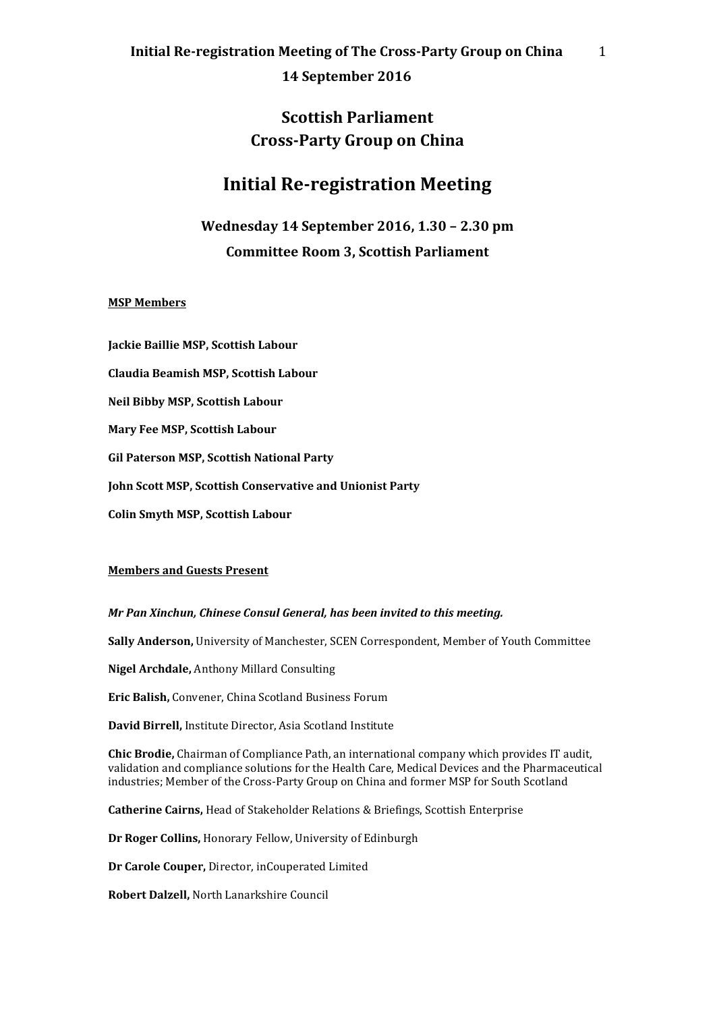**14 September 2016**

## **Scottish Parliament Cross-Party Group on China**

# **Initial Re-registration Meeting**

**Wednesday 14 September 2016, 1.30 – 2.30 pm Committee Room 3, Scottish Parliament**

### **MSP Members**

**Jackie Baillie MSP, Scottish Labour Claudia Beamish MSP, Scottish Labour Neil Bibby MSP, Scottish Labour Mary Fee MSP, Scottish Labour Gil Paterson MSP, Scottish National Party John Scott MSP, Scottish Conservative and Unionist Party Colin Smyth MSP, Scottish Labour**

### **Members and Guests Present**

*Mr Pan Xinchun, Chinese Consul General, has been invited to this meeting.*

**Sally Anderson,** University of Manchester, SCEN Correspondent, Member of Youth Committee

**Nigel Archdale,** Anthony Millard Consulting

**Eric Balish,** Convener, China Scotland Business Forum

**David Birrell,** Institute Director, Asia Scotland Institute

**Chic Brodie,** Chairman of Compliance Path, an international company which provides IT audit, validation and compliance solutions for the Health Care, Medical Devices and the Pharmaceutical industries; Member of the Cross-Party Group on China and former MSP for South Scotland

**Catherine Cairns,** Head of Stakeholder Relations & Briefings, Scottish Enterprise

**Dr Roger Collins,** Honorary Fellow, University of Edinburgh

**Dr Carole Couper,** Director, inCouperated Limited

**Robert Dalzell,** North Lanarkshire Council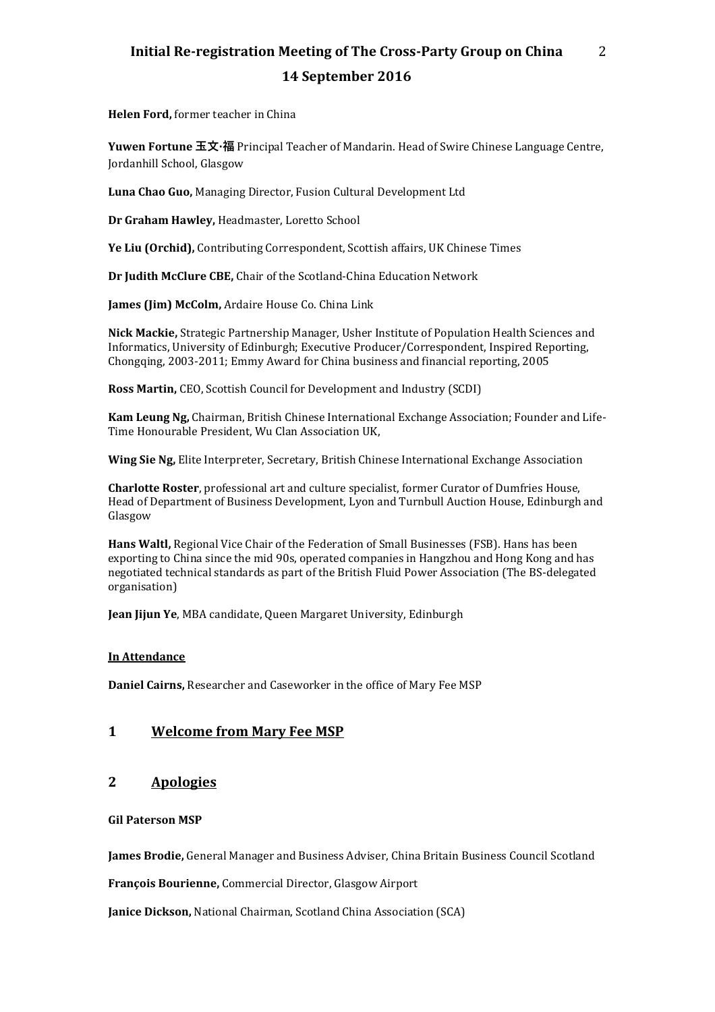# **Initial Re-registration Meeting of The Cross-Party Group on China 14 September 2016**

2

**Helen Ford,** former teacher in China

**Yuwen Fortune 玉文·福** Principal Teacher of Mandarin. Head of Swire Chinese Language Centre, Jordanhill School, Glasgow

**Luna Chao Guo,** Managing Director, Fusion Cultural Development Ltd

**Dr Graham Hawley,** Headmaster, Loretto School

**Ye Liu (Orchid),** Contributing Correspondent, Scottish affairs, UK Chinese Times

**Dr Judith McClure CBE,** Chair of the Scotland-China Education Network

**James (Jim) McColm,** Ardaire House Co. China Link

**Nick Mackie,** Strategic Partnership Manager, Usher Institute of Population Health Sciences and Informatics, University of Edinburgh; Executive Producer/Correspondent, Inspired Reporting, Chongqing, 2003-2011; Emmy Award for China business and financial reporting, 2005

**Ross Martin,** CEO, Scottish Council for Development and Industry (SCDI)

**Kam Leung Ng,** Chairman, British Chinese International Exchange Association; Founder and Life-Time Honourable President, Wu Clan Association UK,

**Wing Sie Ng,** Elite Interpreter, Secretary, British Chinese International Exchange Association

**Charlotte Roster**, professional art and culture specialist, former Curator of Dumfries House, Head of Department of Business Development, Lyon and Turnbull Auction House, Edinburgh and Glasgow

**Hans Waltl,** Regional Vice Chair of the Federation of Small Businesses (FSB). Hans has been exporting to China since the mid 90s, operated companies in Hangzhou and Hong Kong and has negotiated technical standards as part of the British Fluid Power Association (The BS-delegated organisation)

**Jean Jijun Ye**, MBA candidate, Queen Margaret University, Edinburgh

### **In Attendance**

**Daniel Cairns,** Researcher and Caseworker in the office of Mary Fee MSP

### **1 Welcome from Mary Fee MSP**

## **2 Apologies**

#### **Gil Paterson MSP**

**James Brodie,** General Manager and Business Adviser, China Britain Business Council Scotland

**François Bourienne,** Commercial Director, Glasgow Airport

**Janice Dickson,** National Chairman, Scotland China Association (SCA)